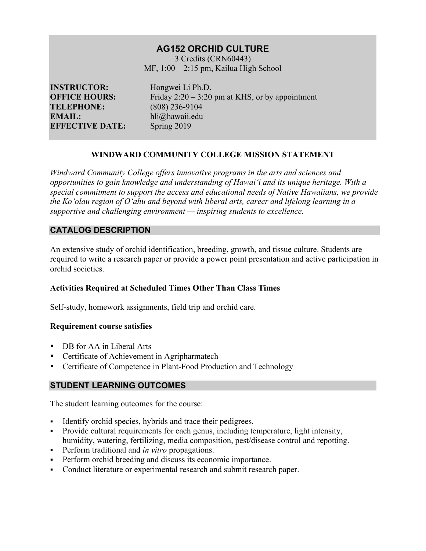# **AG152 ORCHID CULTURE**

3 Credits (CRN60443) MF, 1:00 – 2:15 pm, Kailua High School

**INSTRUCTOR:** Hongwei Li Ph.D. **TELEPHONE:** (808) 236-9104 **EMAIL:** hli@hawaii.edu **EFFECTIVE DATE:** Spring 2019

**OFFICE HOURS:** Friday 2:20 – 3:20 pm at KHS, or by appointment

# **WINDWARD COMMUNITY COLLEGE MISSION STATEMENT**

*Windward Community College offers innovative programs in the arts and sciences and opportunities to gain knowledge and understanding of Hawai'i and its unique heritage. With a special commitment to support the access and educational needs of Native Hawaiians, we provide the Ko'olau region of Oʻahu and beyond with liberal arts, career and lifelong learning in a supportive and challenging environment — inspiring students to excellence.*

## **CATALOG DESCRIPTION**

An extensive study of orchid identification, breeding, growth, and tissue culture. Students are required to write a research paper or provide a power point presentation and active participation in orchid societies.

#### **Activities Required at Scheduled Times Other Than Class Times**

Self-study, homework assignments, field trip and orchid care.

#### **Requirement course satisfies**

- DB for AA in Liberal Arts
- Certificate of Achievement in Agripharmatech
- Certificate of Competence in Plant-Food Production and Technology

#### **STUDENT LEARNING OUTCOMES**

The student learning outcomes for the course:

- Identify orchid species, hybrids and trace their pedigrees.
- Provide cultural requirements for each genus, including temperature, light intensity, humidity, watering, fertilizing, media composition, pest/disease control and repotting.
- Perform traditional and *in vitro* propagations.
- Perform orchid breeding and discuss its economic importance.
- Conduct literature or experimental research and submit research paper.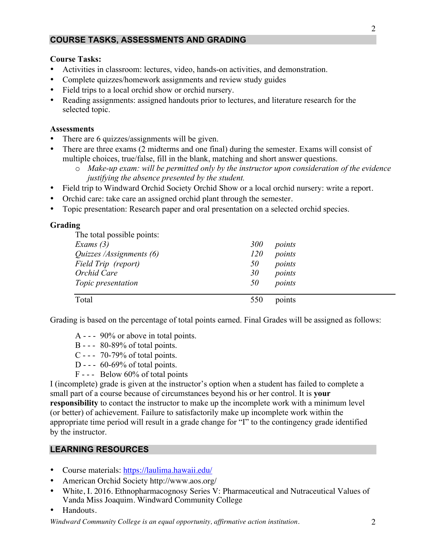# **COURSE TASKS, ASSESSMENTS AND GRADING**

#### **Course Tasks:**

- Activities in classroom: lectures, video, hands-on activities, and demonstration.
- Complete quizzes/homework assignments and review study guides
- Field trips to a local orchid show or orchid nursery.
- Reading assignments: assigned handouts prior to lectures, and literature research for the selected topic.

#### **Assessments**

- There are 6 quizzes/assignments will be given.
- There are three exams (2 midterms and one final) during the semester. Exams will consist of multiple choices, true/false, fill in the blank, matching and short answer questions.
	- o *Make-up exam: will be permitted only by the instructor upon consideration of the evidence justifying the absence presented by the student.*
- Field trip to Windward Orchid Society Orchid Show or a local orchid nursery: write a report.
- Orchid care: take care an assigned orchid plant through the semester.
- Topic presentation: Research paper and oral presentation on a selected orchid species.

#### **Grading**

| The total possible points:                      |               |        |
|-------------------------------------------------|---------------|--------|
| Exams $(3)$                                     | 300<br>points |        |
| Quizzes /Assignments (6)<br>Field Trip (report) | 120<br>points | points |
|                                                 | 50            |        |
| Orchid Care                                     | 30<br>points  |        |
| Topic presentation                              | 50<br>points  |        |
|                                                 |               |        |
| Total                                           | 550<br>points |        |

Grading is based on the percentage of total points earned. Final Grades will be assigned as follows:

- A - 90% or above in total points.
- B - 80-89% of total points.
- C - 70-79% of total points.
- D - 60-69% of total points.
- F - Below 60% of total points

I (incomplete) grade is given at the instructor's option when a student has failed to complete a small part of a course because of circumstances beyond his or her control. It is **your responsibility** to contact the instructor to make up the incomplete work with a minimum level (or better) of achievement. Failure to satisfactorily make up incomplete work within the appropriate time period will result in a grade change for "I" to the contingency grade identified by the instructor.

#### **LEARNING RESOURCES**

- Course materials: https://laulima.hawaii.edu/
- American Orchid Society http://www.aos.org/
- White, I. 2016. Ethnopharmacognosy Series V: Pharmaceutical and Nutraceutical Values of Vanda Miss Joaquim. Windward Community College
- Handouts.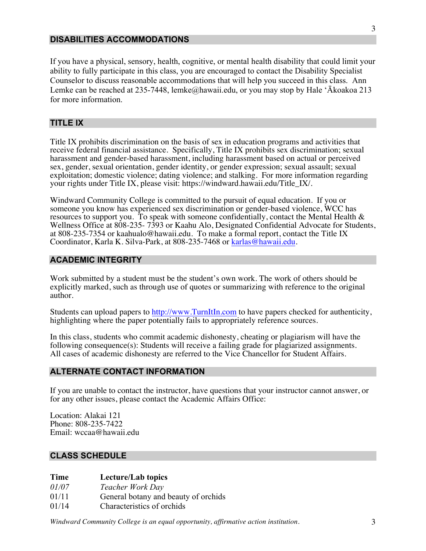#### **DISABILITIES ACCOMMODATIONS**

If you have a physical, sensory, health, cognitive, or mental health disability that could limit your ability to fully participate in this class, you are encouraged to contact the Disability Specialist Counselor to discuss reasonable accommodations that will help you succeed in this class. Ann Lemke can be reached at 235-7448, lemke@hawaii.edu, or you may stop by Hale 'Ākoakoa 213 for more information.

# **TITLE IX**

Title IX prohibits discrimination on the basis of sex in education programs and activities that receive federal financial assistance. Specifically, Title IX prohibits sex discrimination; sexual harassment and gender-based harassment, including harassment based on actual or perceived sex, gender, sexual orientation, gender identity, or gender expression; sexual assault; sexual exploitation; domestic violence; dating violence; and stalking. For more information regarding your rights under Title IX, please visit: https://windward.hawaii.edu/Title\_IX/.

Windward Community College is committed to the pursuit of equal education. If you or someone you know has experienced sex discrimination or gender-based violence, WCC has resources to support you. To speak with someone confidentially, contact the Mental Health & Wellness Office at 808-235- 7393 or Kaahu Alo, Designated Confidential Advocate for Students, at 808-235-7354 or kaahualo@hawaii.edu. To make a formal report, contact the Title IX Coordinator, Karla K. Silva-Park, at 808-235-7468 or karlas@hawaii.edu.

#### **ACADEMIC INTEGRITY**

Work submitted by a student must be the student's own work. The work of others should be explicitly marked, such as through use of quotes or summarizing with reference to the original author.

Students can upload papers to http://www.TurnItIn.com to have papers checked for authenticity, highlighting where the paper potentially fails to appropriately reference sources.

In this class, students who commit academic dishonesty, cheating or plagiarism will have the following consequence(s): Students will receive a failing grade for plagiarized assignments. All cases of academic dishonesty are referred to the Vice Chancellor for Student Affairs.

#### **ALTERNATE CONTACT INFORMATION**

If you are unable to contact the instructor, have questions that your instructor cannot answer, or for any other issues, please contact the Academic Affairs Office:

Location: Alakai 121 Phone: 808-235-7422 Email: wccaa@hawaii.edu

#### **CLASS SCHEDULE**

#### **Time Lecture/Lab topics**

*01/07 Teacher Work Day*

01/11 General botany and beauty of orchids

01/14 Characteristics of orchids

*Windward Community College is an equal opportunity, affirmative action institution.* 3